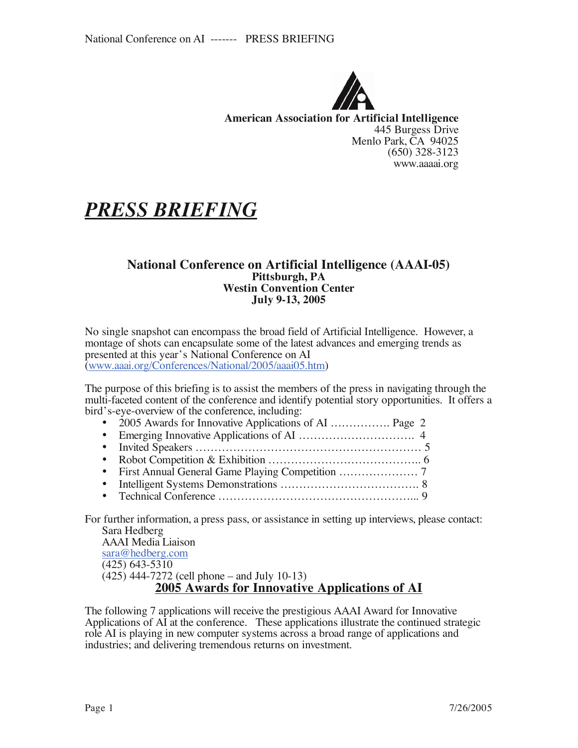

**American Association for Artificial Intelligence** 445 Burgess Drive Menlo Park, CA 94025 (650) 328-3123 www.aaaai.org

# *PRESS BRIEFING*

#### **National Conference on Artificial Intelligence (AAAI-05) Pittsburgh, PA Westin Convention Center July 9-13, 2005**

No single snapshot can encompass the broad field of Artificial Intelligence. However, a montage of shots can encapsulate some of the latest advances and emerging trends as presented at this year's National Conference on AI (www.aaai.org/Conferences/National/2005/aaai05.htm)

The purpose of this briefing is to assist the members of the press in navigating through the multi-faceted content of the conference and identify potential story opportunities. It offers a bird's-eye-overview of the conference, including:

- 2005 Awards for Innovative Applications of AI .................. Page 2
- Emerging Innovative Applications of AI …………………………. 4
- Invited Speakers …………………………………………………… 5
- Robot Competition & Exhibition ………………………………….. 6
- First Annual General Game Playing Competition ………………… 7
- Intelligent Systems Demonstrations ………………………………. 8
- Technical Conference ……………………………………………... 9

For further information, a press pass, or assistance in setting up interviews, please contact: Sara Hedberg

AAAI Media Liaison sara@hedberg.com (425) 643-5310 (425) 444-7272 (cell phone – and July 10-13) **2005 Awards for Innovative Applications of AI**

The following 7 applications will receive the prestigious AAAI Award for Innovative Applications of AI at the conference. These applications illustrate the continued strategic role AI is playing in new computer systems across a broad range of applications and industries; and delivering tremendous returns on investment.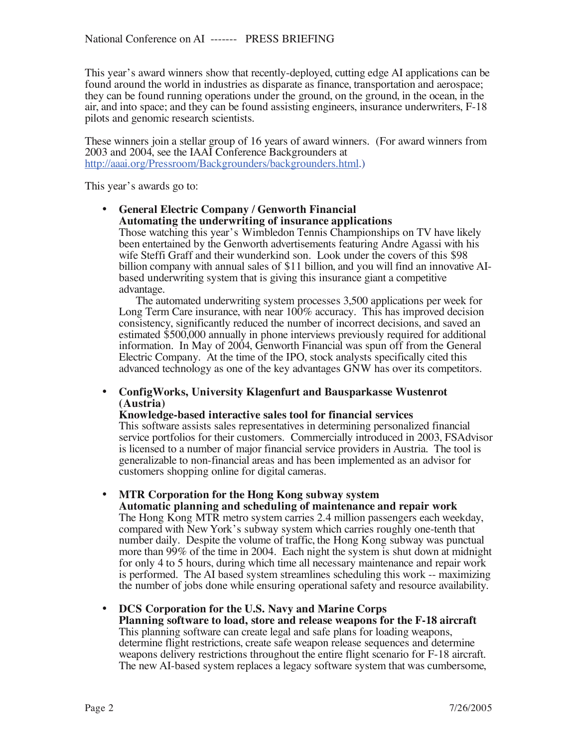This year's award winners show that recently-deployed, cutting edge AI applications can be found around the world in industries as disparate as finance, transportation and aerospace; they can be found running operations under the ground, on the ground, in the ocean, in the air, and into space; and they can be found assisting engineers, insurance underwriters, F-18 pilots and genomic research scientists.

These winners join a stellar group of 16 years of award winners. (For award winners from 2003 and 2004, see the IAAI Conference Backgrounders at http://aaai.org/Pressroom/Backgrounders/backgrounders.html.)

This year's awards go to:

• **General Electric Company / Genworth Financial Automating the underwriting of insurance applications** Those watching this year's Wimbledon Tennis Championships on TV have likely been entertained by the Genworth advertisements featuring Andre Agassi with his wife Steffi Graff and their wunderkind son. Look under the covers of this \$98 billion company with annual sales of \$11 billion, and you will find an innovative AIbased underwriting system that is giving this insurance giant a competitive

advantage. The automated underwriting system processes 3,500 applications per week for Long Term Care insurance, with near 100% accuracy. This has improved decision consistency, significantly reduced the number of incorrect decisions, and saved an estimated \$500,000 annually in phone interviews previously required for additional information. In May of 2004, Genworth Financial was spun off from the General Electric Company. At the time of the IPO, stock analysts specifically cited this advanced technology as one of the key advantages GNW has over its competitors.

#### • **ConfigWorks, University Klagenfurt and Bausparkasse Wustenrot (Austria)**

#### **Knowledge-based interactive sales tool for financial services**

This software assists sales representatives in determining personalized financial service portfolios for their customers. Commercially introduced in 2003, FSAdvisor is licensed to a number of major financial service providers in Austria. The tool is generalizable to non-financial areas and has been implemented as an advisor for customers shopping online for digital cameras.

#### • **MTR Corporation for the Hong Kong subway system**

**Automatic planning and scheduling of maintenance and repair work** The Hong Kong MTR metro system carries 2.4 million passengers each weekday, compared with New York's subway system which carries roughly one-tenth that number daily. Despite the volume of traffic, the Hong Kong subway was punctual more than 99% of the time in 2004. Each night the system is shut down at midnight for only 4 to 5 hours, during which time all necessary maintenance and repair work is performed. The AI based system streamlines scheduling this work -- maximizing the number of jobs done while ensuring operational safety and resource availability.

#### • **DCS Corporation for the U.S. Navy and Marine Corps**

**Planning software to load, store and release weapons for the F-18 aircraft** determine flight restrictions, create safe weapon release sequences and determine weapons delivery restrictions throughout the entire flight scenario for F-18 aircraft. The new AI-based system replaces a legacy software system that was cumbersome,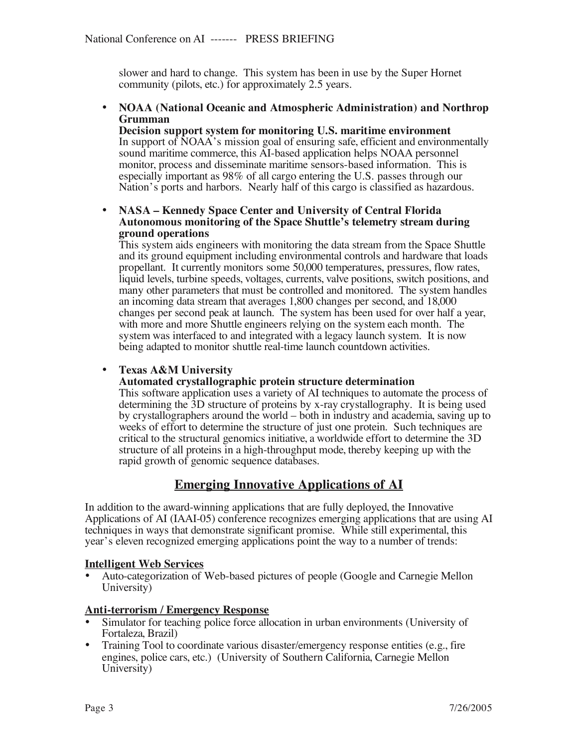slower and hard to change. This system has been in use by the Super Hornet community (pilots, etc.) for approximately 2.5 years.

#### • **NOAA (National Oceanic and Atmospheric Administration) and Northrop Grumman**

**Decision support system for monitoring U.S. maritime environment** In support of NOAA's mission goal of ensuring safe, efficient and environmentally sound maritime commerce, this AI-based application helps NOAA personnel monitor, process and disseminate maritime sensors-based information. This is especially important as 98% of all cargo entering the U.S. passes through our Nation's ports and harbors. Nearly half of this cargo is classified as hazardous.

#### • **NASA – Kennedy Space Center and University of Central Florida Autonomous monitoring of the Space Shuttle's telemetry stream during ground operations**

This system aids engineers with monitoring the data stream from the Space Shuttle and its ground equipment including environmental controls and hardware that loads propellant. It currently monitors some 50,000 temperatures, pressures, flow rates, liquid levels, turbine speeds, voltages, currents, valve positions, switch positions, and many other parameters that must be controlled and monitored. The system handles an incoming data stream that averages 1,800 changes per second, and 18,000 changes per second peak at launch. The system has been used for over half a year, with more and more Shuttle engineers relying on the system each month. The system was interfaced to and integrated with a legacy launch system. It is now being adapted to monitor shuttle real-time launch countdown activities.

### • **Texas A&M University**

#### **Automated crystallographic protein structure determination**

This software application uses a variety of AI techniques to automate the process of determining the 3D structure of proteins by x-ray crystallography. It is being used by crystallographers around the world – both in industry and academia, saving up to weeks of effort to determine the structure of just one protein. Such techniques are critical to the structural genomics initiative, a worldwide effort to determine the 3D structure of all proteins in a high-throughput mode, thereby keeping up with the rapid growth of genomic sequence databases.

# **Emerging Innovative Applications of AI**

In addition to the award-winning applications that are fully deployed, the Innovative Applications of AI (IAAI-05) conference recognizes emerging applications that are using AI techniques in ways that demonstrate significant promise. While still experimental, this year's eleven recognized emerging applications point the way to a number of trends:

#### **Intelligent Web Services**

• Auto-categorization of Web-based pictures of people (Google and Carnegie Mellon University)

#### **Anti-terrorism / Emergency Response**

- Simulator for teaching police force allocation in urban environments (University of Fortaleza, Brazil)
- Training Tool to coordinate various disaster/emergency response entities (e.g., fire engines, police cars, etc.) (University of Southern California, Carnegie Mellon University)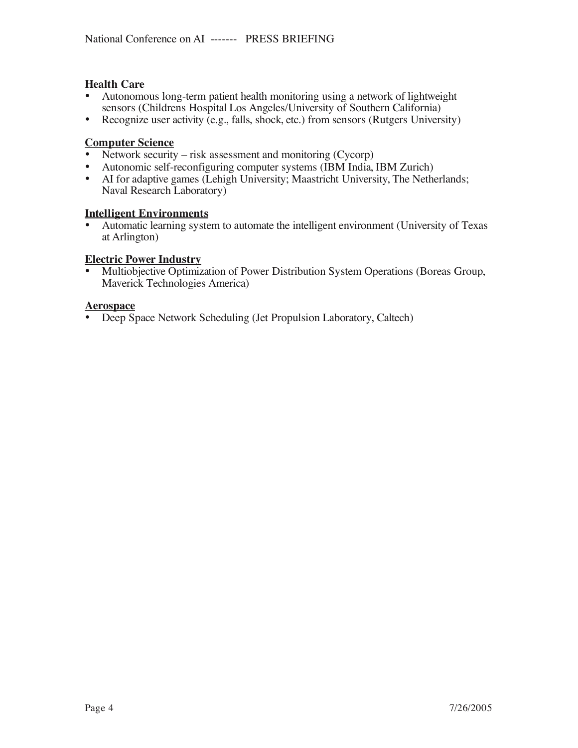#### **Health Care**

- Autonomous long-term patient health monitoring using a network of lightweight sensors (Childrens Hospital Los Angeles/University of Southern California)
- Recognize user activity (e.g., falls, shock, etc.) from sensors (Rutgers University)

#### **Computer Science**

- Network security risk assessment and monitoring (Cycorp)
- Autonomic self-reconfiguring computer systems (IBM India, IBM Zurich)<br>• AI for adaptive games (Lehigh University: Maastricht University. The Nethe
- AI for adaptive games (Lehigh University; Maastricht University, The Netherlands; Naval Research Laboratory)

#### **Intelligent Environments**

• Automatic learning system to automate the intelligent environment (University of Texas at Arlington)

#### **Electric Power Industry**

• Multiobjective Optimization of Power Distribution System Operations (Boreas Group, Maverick Technologies America)

#### **Aerospace**

• Deep Space Network Scheduling (Jet Propulsion Laboratory, Caltech)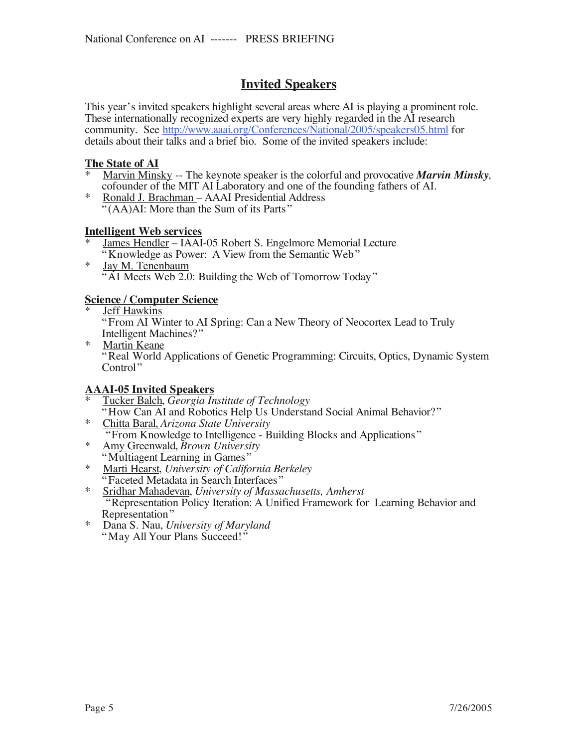# **Invited Speakers**

This year's invited speakers highlight several areas where AI is playing a prominent role. These internationally recognized experts are very highly regarded in the AI research community. See http://www.aaai.org/Conferences/National/2005/speakers05.html for details about their talks and a brief bio. Some of the invited speakers include:

#### **The State of AI**

- \* Marvin Minsky -- The keynote speaker is the colorful and provocative *Marvin Minsky*, cofounder of the MIT AI Laboratory and one of the founding fathers of AI.
- \* Ronald J. Brachman AAAI Presidential Address "(AA)AI: More than the Sum of its Parts"

#### **Intelligent Web services**

- James Hendler IAAI-05 Robert S. Engelmore Memorial Lecture "Knowledge as Power: A View from the Semantic Web"
- \*  $Jay M. Tenenbaum$ <br>"AI Meets Web 2.0: Building the Web of Tomorrow Today"

# **Science / Computer Science**

"From AI Winter to AI Spring: Can a New Theory of Neocortex Lead to Truly Intelligent Machines?"

<sup>\*</sup> Martin Keane<br>"Real World Applications of Genetic Programming: Circuits, Optics, Dynamic System Control"

- **AAAI-05 Invited Speakers**
- -
- 
- 
- \* Tucker Balch, *Georgia Institute of Technology*<br>
"How Can AI and Robotics Help Us Understand Social Animal Behavior?"<br>
\* Chitta Baral, *Arizona State University*<br>
"From Knowledge to Intelligence Building Blocks and App Representation"
- \* Dana S. Nau, *University of Maryland* "May All Your Plans Succeed!"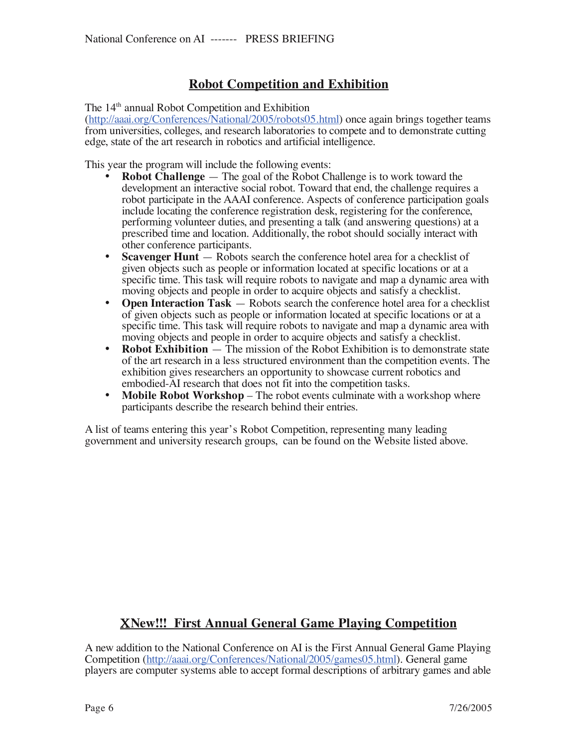# **Robot Competition and Exhibition**

The 14<sup>th</sup> annual Robot Competition and Exhibition

(http://aaai.org/Conferences/National/2005/robots05.html) once again brings together teams from universities, colleges, and research laboratories to compete and to demonstrate cutting edge, state of the art research in robotics and artificial intelligence.

This year the program will include the following events:

- **Robot Challenge** The goal of the Robot Challenge is to work toward the development an interactive social robot. Toward that end, the challenge requires a robot participate in the AAAI conference. Aspects of conference participation goals include locating the conference registration desk, registering for the conference, performing volunteer duties, and presenting a talk (and answering questions) at a prescribed time and location. Additionally, the robot should socially interact with other conference participants.
- **Scavenger Hunt** Robots search the conference hotel area for a checklist of given objects such as people or information located at specific locations or at a specific time. This task will require robots to navigate and map a dynamic area with moving objects and people in order to acquire objects and satisfy a checklist.
- **Open Interaction Task** Robots search the conference hotel area for a checklist of given objects such as people or information located at specific locations or at a specific time. This task will require robots to navigate and map a dynamic area with moving objects and people in order to acquire objects and satisfy a checklist.
- **Robot Exhibition** The mission of the Robot Exhibition is to demonstrate state of the art research in a less structured environment than the competition events. The exhibition gives researchers an opportunity to showcase current robotics and embodied-AI research that does not fit into the competition tasks.
- **Mobile Robot Workshop** The robot events culminate with a workshop where participants describe the research behind their entries.

A list of teams entering this year's Robot Competition, representing many leading government and university research groups, can be found on the Website listed above.

# !**New!!! First Annual General Game Playing Competition**

A new addition to the National Conference on AI is the First Annual General Game Playing Competition (http://aaai.org/Conferences/National/2005/games05.html). General game players are computer systems able to accept formal descriptions of arbitrary games and able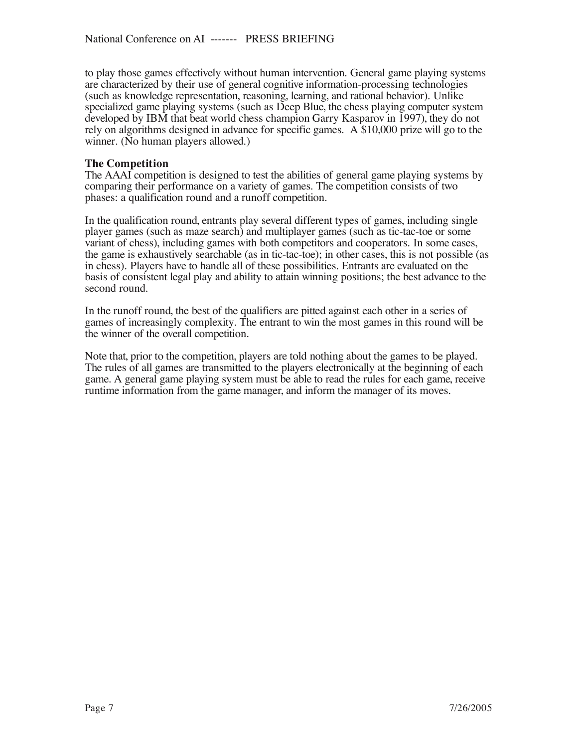to play those games effectively without human intervention. General game playing systems are characterized by their use of general cognitive information-processing technologies (such as knowledge representation, reasoning, learning, and rational behavior). Unlike specialized game playing systems (such as Deep Blue, the chess playing computer system developed by IBM that beat world chess champion Garry Kasparov in 1997), they do not rely on algorithms designed in advance for specific games. A \$10,000 prize will go to the winner. (No human players allowed.)

#### **The Competition**

The AAAI competition is designed to test the abilities of general game playing systems by comparing their performance on a variety of games. The competition consists of two phases: a qualification round and a runoff competition.

In the qualification round, entrants play several different types of games, including single player games (such as maze search) and multiplayer games (such as tic-tac-toe or some variant of chess), including games with both competitors and cooperators. In some cases, the game is exhaustively searchable (as in tic-tac-toe); in other cases, this is not possible (as in chess). Players have to handle all of these possibilities. Entrants are evaluated on the basis of consistent legal play and ability to attain winning positions; the best advance to the second round.

In the runoff round, the best of the qualifiers are pitted against each other in a series of games of increasingly complexity. The entrant to win the most games in this round will be the winner of the overall competition.

Note that, prior to the competition, players are told nothing about the games to be played. The rules of all games are transmitted to the players electronically at the beginning of each game. A general game playing system must be able to read the rules for each game, receive runtime information from the game manager, and inform the manager of its moves.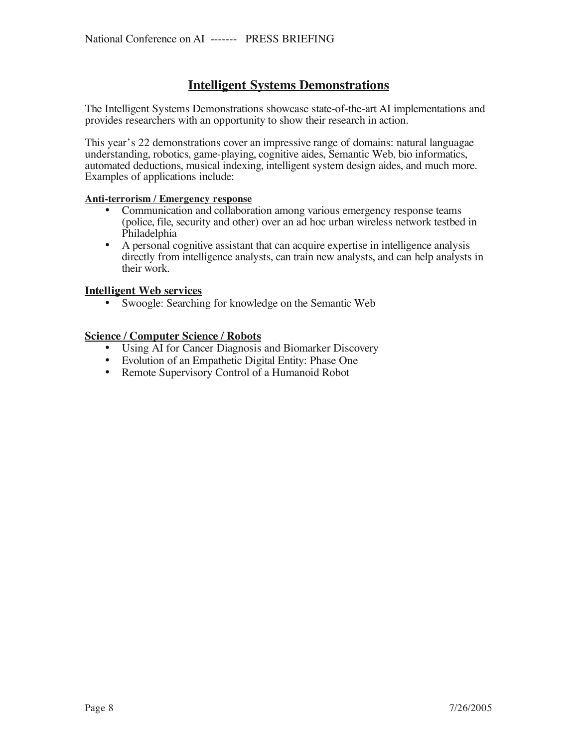# **Intelligent Systems Demonstrations**

The Intelligent Systems Demonstrations showcase state-of-the-art AI implementations and provides researchers with an opportunity to show their research in action.

This year's 22 demonstrations cover an impressive range of domains: natural languagae understanding, robotics, game-playing, cognitive aides, Semantic Web, bio informatics, automated deductions, musical indexing, intelligent system design aides, and much more. Examples of applications include:

#### **Anti-terrorism / Emergency response**

- Communication and collaboration among various emergency response teams (police, file, security and other) over an ad hoc urban wireless network testbed in Philadelphia
- A personal cognitive assistant that can acquire expertise in intelligence analysis directly from intelligence analysts, can train new analysts, and can help analysts in their work.

#### **Intelligent Web services**

• Swoogle: Searching for knowledge on the Semantic Web

#### **Science / Computer Science / Robots**

- Using AI for Cancer Diagnosis and Biomarker Discovery
- Evolution of an Empathetic Digital Entity: Phase One
- Remote Supervisory Control of a Humanoid Robot